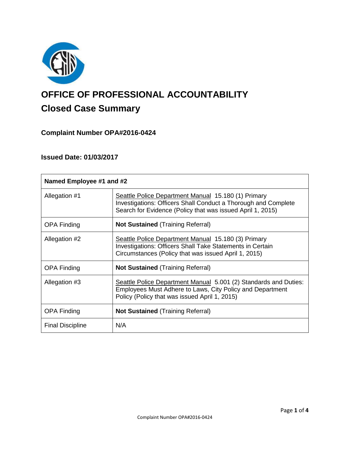

# **OFFICE OF PROFESSIONAL ACCOUNTABILITY Closed Case Summary**

# **Complaint Number OPA#2016-0424**

# **Issued Date: 01/03/2017**

| Named Employee #1 and #2 |                                                                                                                                                                                     |
|--------------------------|-------------------------------------------------------------------------------------------------------------------------------------------------------------------------------------|
| Allegation #1            | Seattle Police Department Manual 15.180 (1) Primary<br>Investigations: Officers Shall Conduct a Thorough and Complete<br>Search for Evidence (Policy that was issued April 1, 2015) |
| <b>OPA Finding</b>       | <b>Not Sustained (Training Referral)</b>                                                                                                                                            |
| Allegation #2            | Seattle Police Department Manual 15.180 (3) Primary<br><b>Investigations: Officers Shall Take Statements in Certain</b><br>Circumstances (Policy that was issued April 1, 2015)     |
| <b>OPA Finding</b>       | <b>Not Sustained (Training Referral)</b>                                                                                                                                            |
| Allegation #3            | Seattle Police Department Manual 5.001 (2) Standards and Duties:<br>Employees Must Adhere to Laws, City Policy and Department<br>Policy (Policy that was issued April 1, 2015)      |
| <b>OPA Finding</b>       | <b>Not Sustained (Training Referral)</b>                                                                                                                                            |
| <b>Final Discipline</b>  | N/A                                                                                                                                                                                 |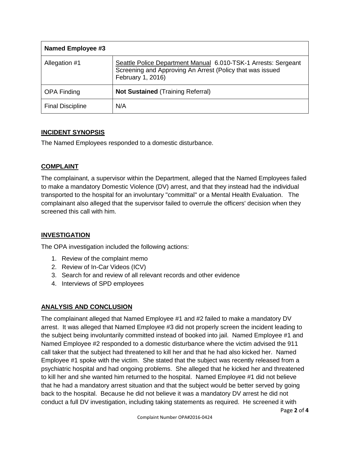| <b>Named Employee #3</b> |                                                                                                                                                  |
|--------------------------|--------------------------------------------------------------------------------------------------------------------------------------------------|
| Allegation #1            | Seattle Police Department Manual 6.010-TSK-1 Arrests: Sergeant<br>Screening and Approving An Arrest (Policy that was issued<br>February 1, 2016) |
| <b>OPA Finding</b>       | <b>Not Sustained (Training Referral)</b>                                                                                                         |
| <b>Final Discipline</b>  | N/A                                                                                                                                              |

# **INCIDENT SYNOPSIS**

The Named Employees responded to a domestic disturbance.

# **COMPLAINT**

The complainant, a supervisor within the Department, alleged that the Named Employees failed to make a mandatory Domestic Violence (DV) arrest, and that they instead had the individual transported to the hospital for an involuntary "committal" or a Mental Health Evaluation. The complainant also alleged that the supervisor failed to overrule the officers' decision when they screened this call with him.

# **INVESTIGATION**

The OPA investigation included the following actions:

- 1. Review of the complaint memo
- 2. Review of In-Car Videos (ICV)
- 3. Search for and review of all relevant records and other evidence
- 4. Interviews of SPD employees

# **ANALYSIS AND CONCLUSION**

The complainant alleged that Named Employee #1 and #2 failed to make a mandatory DV arrest. It was alleged that Named Employee #3 did not properly screen the incident leading to the subject being involuntarily committed instead of booked into jail. Named Employee #1 and Named Employee #2 responded to a domestic disturbance where the victim advised the 911 call taker that the subject had threatened to kill her and that he had also kicked her. Named Employee #1 spoke with the victim. She stated that the subject was recently released from a psychiatric hospital and had ongoing problems. She alleged that he kicked her and threatened to kill her and she wanted him returned to the hospital. Named Employee #1 did not believe that he had a mandatory arrest situation and that the subject would be better served by going back to the hospital. Because he did not believe it was a mandatory DV arrest he did not conduct a full DV investigation, including taking statements as required. He screened it with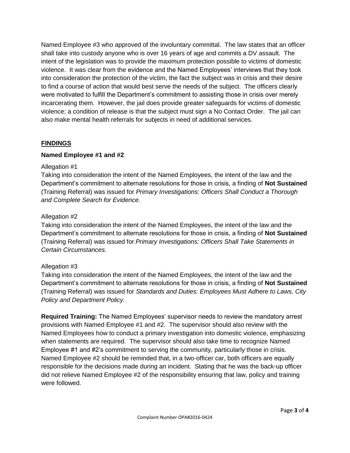Named Employee #3 who approved of the involuntary committal. The law states that an officer shall take into custody anyone who is over 16 years of age and commits a DV assault. The intent of the legislation was to provide the maximum protection possible to victims of domestic violence. It was clear from the evidence and the Named Employees' interviews that they took into consideration the protection of the victim, the fact the subject was in crisis and their desire to find a course of action that would best serve the needs of the subject. The officers clearly were motivated to fulfill the Department's commitment to assisting those in crisis over merely incarcerating them. However, the jail does provide greater safeguards for victims of domestic violence; a condition of release is that the subject must sign a No Contact Order. The jail can also make mental health referrals for subjects in need of additional services.

#### **FINDINGS**

#### **Named Employee #1 and #2**

#### Allegation #1

Taking into consideration the intent of the Named Employees, the intent of the law and the Department's commitment to alternate resolutions for those in crisis, a finding of **Not Sustained** (Training Referral) was issued for *Primary Investigations: Officers Shall Conduct a Thorough and Complete Search for Evidence.*

#### Allegation #2

Taking into consideration the intent of the Named Employees, the intent of the law and the Department's commitment to alternate resolutions for those in crisis, a finding of **Not Sustained** (Training Referral) was issued for *Primary Investigations: Officers Shall Take Statements in Certain Circumstances.*

#### Allegation #3

Taking into consideration the intent of the Named Employees, the intent of the law and the Department's commitment to alternate resolutions for those in crisis, a finding of **Not Sustained** (Training Referral) was issued for *Standards and Duties: Employees Must Adhere to Laws, City Policy and Department Policy.*

**Required Training:** The Named Employees' supervisor needs to review the mandatory arrest provisions with Named Employee #1 and #2. The supervisor should also review with the Named Employees how to conduct a primary investigation into domestic violence, emphasizing when statements are required. The supervisor should also take time to recognize Named Employee #1 and #2's commitment to serving the community, particularly those in crisis. Named Employee #2 should be reminded that, in a two-officer car, both officers are equally responsible for the decisions made during an incident. Stating that he was the back-up officer did not relieve Named Employee #2 of the responsibility ensuring that law, policy and training were followed.